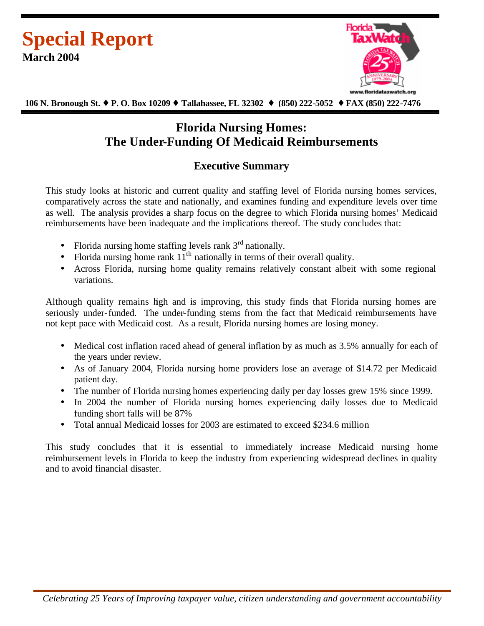



 **106 N. Bronough St. ¨ P. O. Box 10209 ¨ Tallahassee, FL 32302 ¨ (850) 222-5052 ¨ FAX (850) 222-7476**

# **Florida Nursing Homes: The Under-Funding Of Medicaid Reimbursements**

# **Executive Summary**

This study looks at historic and current quality and staffing level of Florida nursing homes services, comparatively across the state and nationally, and examines funding and expenditure levels over time as well. The analysis provides a sharp focus on the degree to which Florida nursing homes' Medicaid reimbursements have been inadequate and the implications thereof. The study concludes that:

- Florida nursing home staffing levels rank  $3<sup>rd</sup>$  nationally.
- Florida nursing home rank  $11<sup>th</sup>$  nationally in terms of their overall quality.
- Across Florida, nursing home quality remains relatively constant albeit with some regional variations.

Although quality remains high and is improving, this study finds that Florida nursing homes are seriously under-funded. The under-funding stems from the fact that Medicaid reimbursements have not kept pace with Medicaid cost. As a result, Florida nursing homes are losing money.

- Medical cost inflation raced ahead of general inflation by as much as 3.5% annually for each of the years under review.
- As of January 2004, Florida nursing home providers lose an average of \$14.72 per Medicaid patient day.
- The number of Florida nursing homes experiencing daily per day losses grew 15% since 1999.
- In 2004 the number of Florida nursing homes experiencing daily losses due to Medicaid funding short falls will be 87%
- Total annual Medicaid losses for 2003 are estimated to exceed \$234.6 million

This study concludes that it is essential to immediately increase Medicaid nursing home reimbursement levels in Florida to keep the industry from experiencing widespread declines in quality and to avoid financial disaster.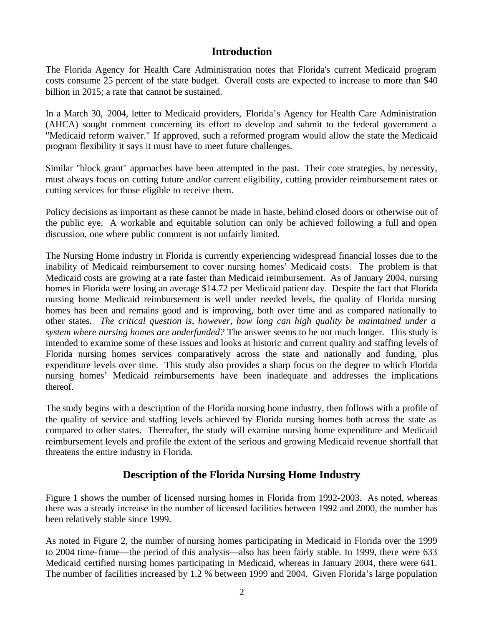### **Introduction**

The Florida Agency for Health Care Administration notes that Florida's current Medicaid program costs consume 25 percent of the state budget. Overall costs are expected to increase to more than \$40 billion in 2015; a rate that cannot be sustained.

In a March 30, 2004, letter to Medicaid providers, Florida's Agency for Health Care Administration (AHCA) sought comment concerning its effort to develop and submit to the federal government a "Medicaid reform waiver." If approved, such a reformed program would allow the state the Medicaid program flexibility it says it must have to meet future challenges.

Similar "block grant" approaches have been attempted in the past. Their core strategies, by necessity, must always focus on cutting future and/or current eligibility, cutting provider reimbursement rates or cutting services for those eligible to receive them.

Policy decisions as important as these cannot be made in haste, behind closed doors or otherwise out of the public eye. A workable and equitable solution can only be achieved following a full and open discussion, one where public comment is not unfairly limited.

The Nursing Home industry in Florida is currently experiencing widespread financial losses due to the inability of Medicaid reimbursement to cover nursing homes' Medicaid costs. The problem is that Medicaid costs are growing at a rate faster than Medicaid reimbursement. As of January 2004, nursing homes in Florida were losing an average \$14.72 per Medicaid patient day. Despite the fact that Florida nursing home Medicaid reimbursement is well under needed levels, the quality of Florida nursing homes has been and remains good and is improving, both over time and as compared nationally to other states. *The critical question is, however, how long can high quality be maintained under a system where nursing homes are underfunded?* The answer seems to be not much longer. This study is intended to examine some of these issues and looks at historic and current quality and staffing levels of Florida nursing homes services comparatively across the state and nationally and funding, plus expenditure levels over time. This study also provides a sharp focus on the degree to which Florida nursing homes' Medicaid reimbursements have been inadequate and addresses the implications thereof.

The study begins with a description of the Florida nursing home industry, then follows with a profile of the quality of service and staffing levels achieved by Florida nursing homes both across the state as compared to other states. Thereafter, the study will examine nursing home expenditure and Medicaid reimbursement levels and profile the extent of the serious and growing Medicaid revenue shortfall that threatens the entire industry in Florida.

# **Description of the Florida Nursing Home Industry**

Figure 1 shows the number of licensed nursing homes in Florida from 1992-2003. As noted, whereas there was a steady increase in the number of licensed facilities between 1992 and 2000, the number has been relatively stable since 1999.

As noted in Figure 2, the number of nursing homes participating in Medicaid in Florida over the 1999 to 2004 time-frame—the period of this analysis—also has been fairly stable. In 1999, there were 633 Medicaid certified nursing homes participating in Medicaid, whereas in January 2004, there were 641. The number of facilities increased by 1.2 % between 1999 and 2004. Given Florida's large population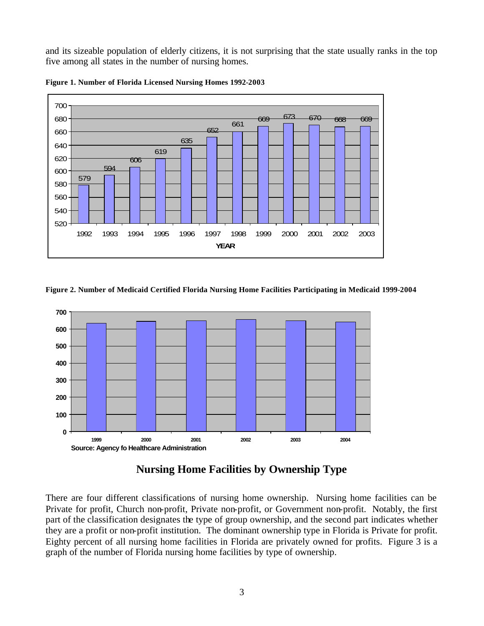and its sizeable population of elderly citizens, it is not surprising that the state usually ranks in the top five among all states in the number of nursing homes.





**Figure 2. Number of Medicaid Certified Florida Nursing Home Facilities Participating in Medicaid 1999-2004**



# **Nursing Home Facilities by Ownership Type**

There are four different classifications of nursing home ownership. Nursing home facilities can be Private for profit, Church non-profit, Private non-profit, or Government non-profit. Notably, the first part of the classification designates the type of group ownership, and the second part indicates whether they are a profit or non-profit institution. The dominant ownership type in Florida is Private for profit. Eighty percent of all nursing home facilities in Florida are privately owned for profits. Figure 3 is a graph of the number of Florida nursing home facilities by type of ownership.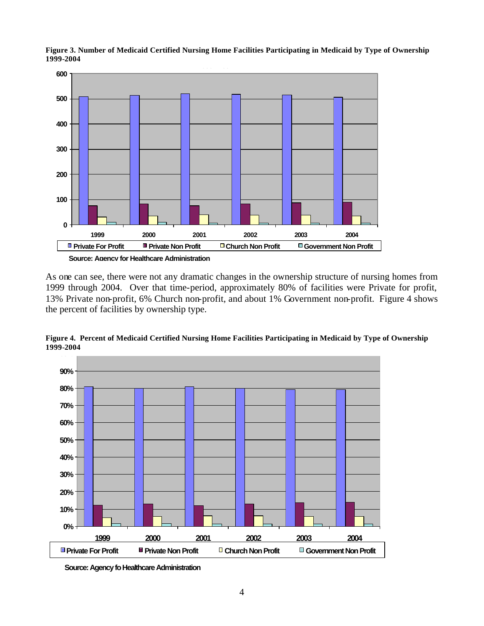

**Figure 3. Number of Medicaid Certified Nursing Home Facilities Participating in Medicaid by Type of Ownership 1999-2004**

As one can see, there were not any dramatic changes in the ownership structure of nursing homes from 1999 through 2004. Over that time-period, approximately 80% of facilities were Private for profit, 13% Private non-profit, 6% Church non-profit, and about 1% Government non-profit. Figure 4 shows the percent of facilities by ownership type.



**Figure 4. Percent of Medicaid Certified Nursing Home Facilities Participating in Medicaid by Type of Ownership 1999-2004**

**Source: Agency fo Healthcare Administration**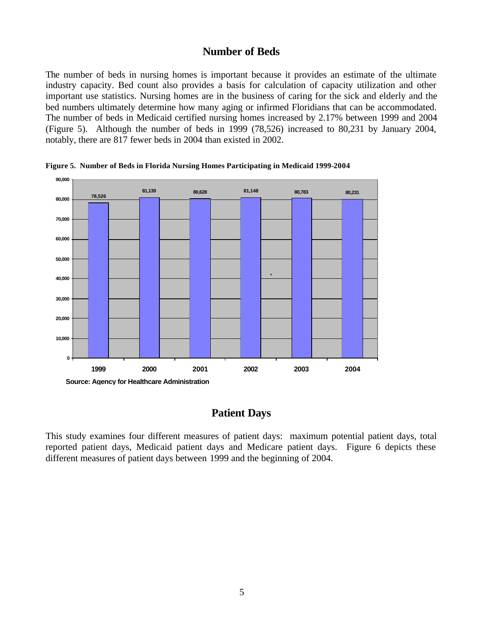### **Number of Beds**

The number of beds in nursing homes is important because it provides an estimate of the ultimate industry capacity. Bed count also provides a basis for calculation of capacity utilization and other important use statistics. Nursing homes are in the business of caring for the sick and elderly and the bed numbers ultimately determine how many aging or infirmed Floridians that can be accommodated. The number of beds in Medicaid certified nursing homes increased by 2.17% between 1999 and 2004 (Figure 5). Although the number of beds in 1999 (78,526) increased to 80,231 by January 2004, notably, there are 817 fewer beds in 2004 than existed in 2002.



**Figure 5. Number of Beds in Florida Nursing Homes Participating in Medicaid 1999-2004**

### **Patient Days**

This study examines four different measures of patient days: maximum potential patient days, total reported patient days, Medicaid patient days and Medicare patient days. Figure 6 depicts these different measures of patient days between 1999 and the beginning of 2004.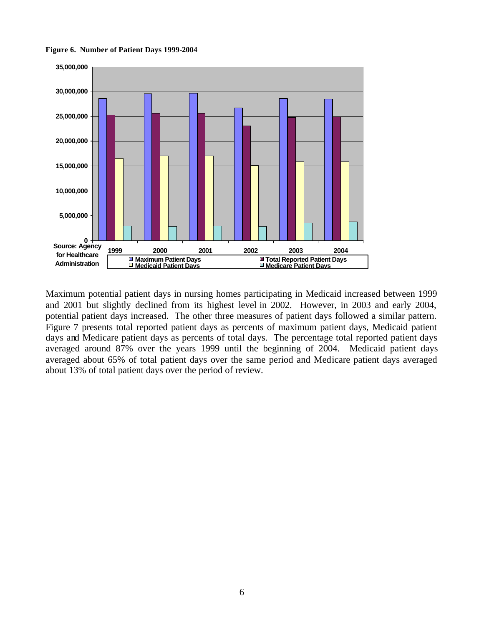**Figure 6. Number of Patient Days 1999-2004**



Maximum potential patient days in nursing homes participating in Medicaid increased between 1999 and 2001 but slightly declined from its highest level in 2002. However, in 2003 and early 2004, potential patient days increased. The other three measures of patient days followed a similar pattern. Figure 7 presents total reported patient days as percents of maximum patient days, Medicaid patient days and Medicare patient days as percents of total days. The percentage total reported patient days averaged around 87% over the years 1999 until the beginning of 2004. Medicaid patient days averaged about 65% of total patient days over the same period and Medicare patient days averaged about 13% of total patient days over the period of review.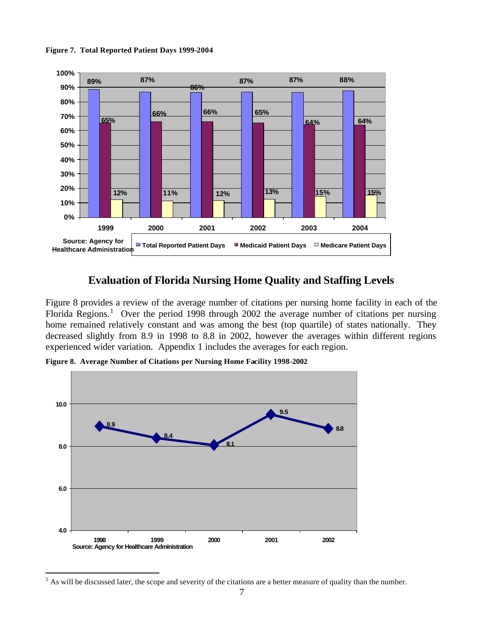**Figure 7. Total Reported Patient Days 1999-2004**



# **Evaluation of Florida Nursing Home Quality and Staffing Levels**

Figure 8 provides a review of the average number of citations per nursing home facility in each of the Florida Regions.<sup>1</sup> Over the period 1998 through 2002 the average number of citations per nursing home remained relatively constant and was among the best (top quartile) of states nationally. They decreased slightly from 8.9 in 1998 to 8.8 in 2002, however the averages within different regions experienced wider variation. Appendix 1 includes the averages for each region.

**Figure 8. Average Number of Citations per Nursing Home Facility 1998-2002**

 $\overline{a}$ 



 $<sup>1</sup>$  As will be discussed later, the scope and severity of the citations are a better measure of quality than the number.</sup>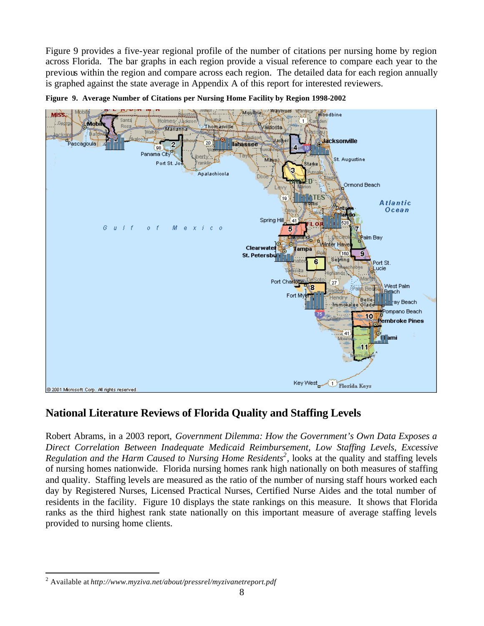Figure 9 provides a five-year regional profile of the number of citations per nursing home by region across Florida. The bar graphs in each region provide a visual reference to compare each year to the previous within the region and compare across each region. The detailed data for each region annually is graphed against the state average in Appendix A of this report for interested reviewers.



**Figure 9. Average Number of Citations per Nursing Home Facility by Region 1998-2002** 

# **National Literature Reviews of Florida Quality and Staffing Levels**

Robert Abrams, in a 2003 report, *Government Dilemma: How the Government's Own Data Exposes a Direct Correlation Between Inadequate Medicaid Reimbursement, Low Staffing Levels, Excessive Regulation and the Harm Caused to Nursing Home Residents<sup>2</sup>, looks at the quality and staffing levels* of nursing homes nationwide. Florida nursing homes rank high nationally on both measures of staffing and quality. Staffing levels are measured as the ratio of the number of nursing staff hours worked each day by Registered Nurses, Licensed Practical Nurses, Certified Nurse Aides and the total number of residents in the facility. Figure 10 displays the state rankings on this measure. It shows that Florida ranks as the third highest rank state nationally on this important measure of average staffing levels provided to nursing home clients.

 $\overline{a}$ 2 Available at *http://www.myziva.net/about/pressrel/myzivanetreport.pdf*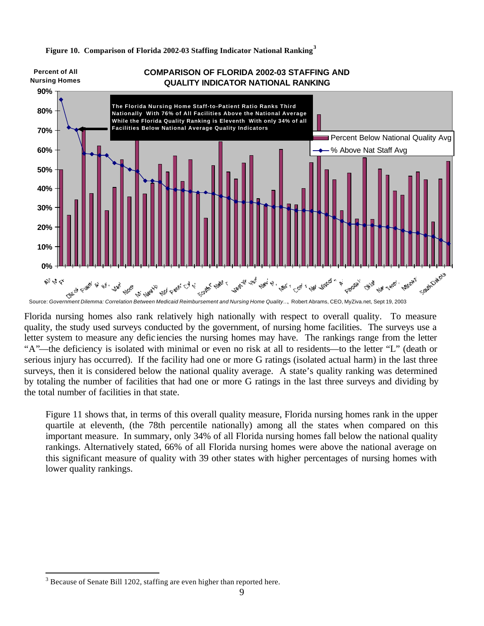

**Figure 10. Comparison of Florida 2002-03 Staffing Indicator National Ranking<sup>3</sup>**

Florida nursing homes also rank relatively high nationally with respect to overall quality. To measure quality, the study used surveys conducted by the government, of nursing home facilities. The surveys use a letter system to measure any defic iencies the nursing homes may have. The rankings range from the letter "A"—the deficiency is isolated with minimal or even no risk at all to residents—to the letter "L" (death or serious injury has occurred). If the facility had one or more G ratings (isolated actual harm) in the last three surveys, then it is considered below the national quality average. A state's quality ranking was determined by totaling the number of facilities that had one or more G ratings in the last three surveys and dividing by the total number of facilities in that state.

Figure 11 shows that, in terms of this overall quality measure, Florida nursing homes rank in the upper quartile at eleventh, (the 78th percentile nationally) among all the states when compared on this important measure. In summary, only 34% of all Florida nursing homes fall below the national quality rankings. Alternatively stated, 66% of all Florida nursing homes were above the national average on this significant measure of quality with 39 other states with higher percentages of nursing homes with lower quality rankings.

 $\overline{a}$ 

 $3$  Because of Senate Bill 1202, staffing are even higher than reported here.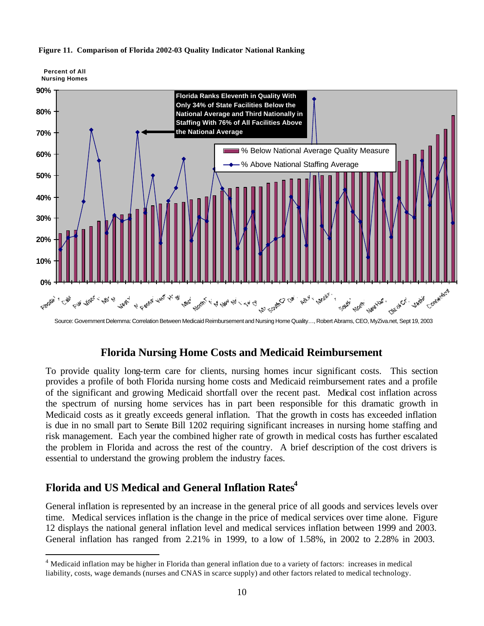

#### **Figure 11. Comparison of Florida 2002-03 Quality Indicator National Ranking**

**Percent of All** 

 $\overline{a}$ 

Source: Government Delemma: Correlation Between Medicaid Reimbursement and Nursing Home Quality…, Robert Abrams, CEO, MyZiva.net, Sept 19, 2003

### **Florida Nursing Home Costs and Medicaid Reimbursement**

To provide quality long-term care for clients, nursing homes incur significant costs. This section provides a profile of both Florida nursing home costs and Medicaid reimbursement rates and a profile of the significant and growing Medicaid shortfall over the recent past. Medical cost inflation across the spectrum of nursing home services has in part been responsible for this dramatic growth in Medicaid costs as it greatly exceeds general inflation. That the growth in costs has exceeded inflation is due in no small part to Senate Bill 1202 requiring significant increases in nursing home staffing and risk management. Each year the combined higher rate of growth in medical costs has further escalated the problem in Florida and across the rest of the country. A brief description of the cost drivers is essential to understand the growing problem the industry faces.

# **Florida and US Medical and General Inflation Rates<sup>4</sup>**

General inflation is represented by an increase in the general price of all goods and services levels over time. Medical services inflation is the change in the price of medical services over time alone. Figure 12 displays the national general inflation level and medical services inflation between 1999 and 2003. General inflation has ranged from 2.21% in 1999, to a low of 1.58%, in 2002 to 2.28% in 2003.

<sup>&</sup>lt;sup>4</sup> Medicaid inflation may be higher in Florida than general inflation due to a variety of factors: increases in medical liability, costs, wage demands (nurses and CNAS in scarce supply) and other factors related to medical technology.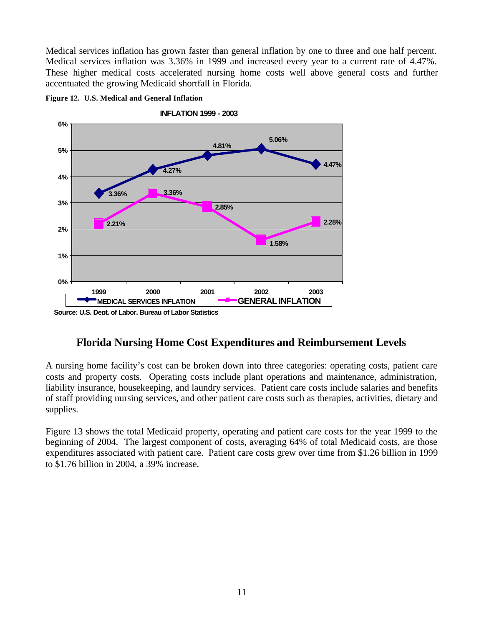Medical services inflation has grown faster than general inflation by one to three and one half percent. Medical services inflation was 3.36% in 1999 and increased every year to a current rate of 4.47%. These higher medical costs accelerated nursing home costs well above general costs and further accentuated the growing Medicaid shortfall in Florida.



#### **Figure 12. U.S. Medical and General Inflation**

# **Florida Nursing Home Cost Expenditures and Reimbursement Levels**

A nursing home facility's cost can be broken down into three categories: operating costs, patient care costs and property costs. Operating costs include plant operations and maintenance, administration, liability insurance, housekeeping, and laundry services. Patient care costs include salaries and benefits of staff providing nursing services, and other patient care costs such as therapies, activities, dietary and supplies.

Figure 13 shows the total Medicaid property, operating and patient care costs for the year 1999 to the beginning of 2004. The largest component of costs, averaging 64% of total Medicaid costs, are those expenditures associated with patient care. Patient care costs grew over time from \$1.26 billion in 1999 to \$1.76 billion in 2004, a 39% increase.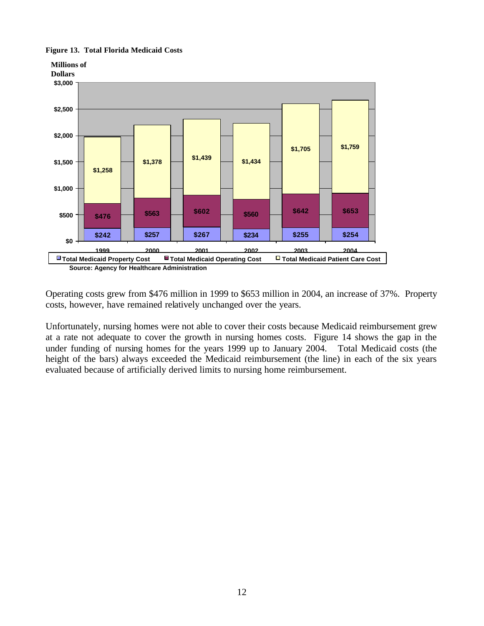#### **Figure 13. Total Florida Medicaid Costs**



Operating costs grew from \$476 million in 1999 to \$653 million in 2004, an increase of 37%. Property costs, however, have remained relatively unchanged over the years.

Unfortunately, nursing homes were not able to cover their costs because Medicaid reimbursement grew at a rate not adequate to cover the growth in nursing homes costs. Figure 14 shows the gap in the under funding of nursing homes for the years 1999 up to January 2004. Total Medicaid costs (the height of the bars) always exceeded the Medicaid reimbursement (the line) in each of the six years evaluated because of artificially derived limits to nursing home reimbursement.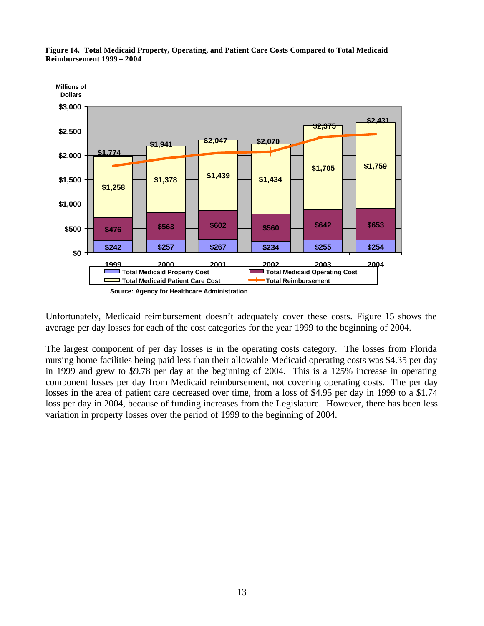

**Figure 14. Total Medicaid Property, Operating, and Patient Care Costs Compared to Total Medicaid Reimbursement 1999 – 2004**

Unfortunately, Medicaid reimbursement doesn't adequately cover these costs. Figure 15 shows the average per day losses for each of the cost categories for the year 1999 to the beginning of 2004.

The largest component of per day losses is in the operating costs category. The losses from Florida nursing home facilities being paid less than their allowable Medicaid operating costs was \$4.35 per day in 1999 and grew to \$9.78 per day at the beginning of 2004. This is a 125% increase in operating component losses per day from Medicaid reimbursement, not covering operating costs. The per day losses in the area of patient care decreased over time, from a loss of \$4.95 per day in 1999 to a \$1.74 loss per day in 2004, because of funding increases from the Legislature. However, there has been less variation in property losses over the period of 1999 to the beginning of 2004.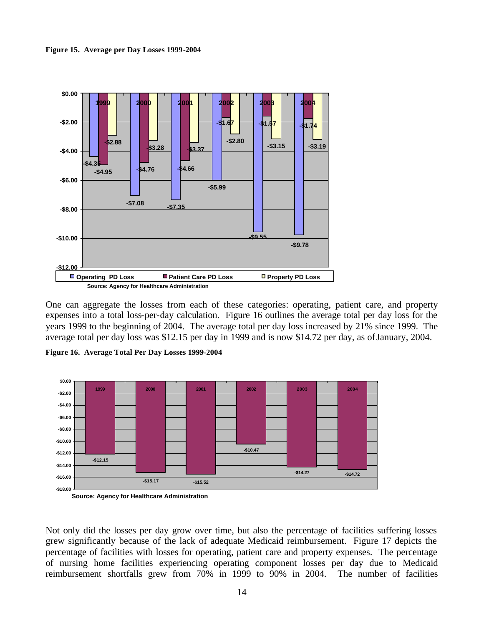**Figure 15. Average per Day Losses 1999-2004**



One can aggregate the losses from each of these categories: operating, patient care, and property expenses into a total loss-per-day calculation. Figure 16 outlines the average total per day loss for the years 1999 to the beginning of 2004. The average total per day loss increased by 21% since 1999. The average total per day loss was \$12.15 per day in 1999 and is now \$14.72 per day, as of January, 2004.

**Figure 16. Average Total Per Day Losses 1999-2004**



**Source: Agency for Healthcare Administration**

Not only did the losses per day grow over time, but also the percentage of facilities suffering losses grew significantly because of the lack of adequate Medicaid reimbursement. Figure 17 depicts the percentage of facilities with losses for operating, patient care and property expenses. The percentage of nursing home facilities experiencing operating component losses per day due to Medicaid reimbursement shortfalls grew from 70% in 1999 to 90% in 2004. The number of facilities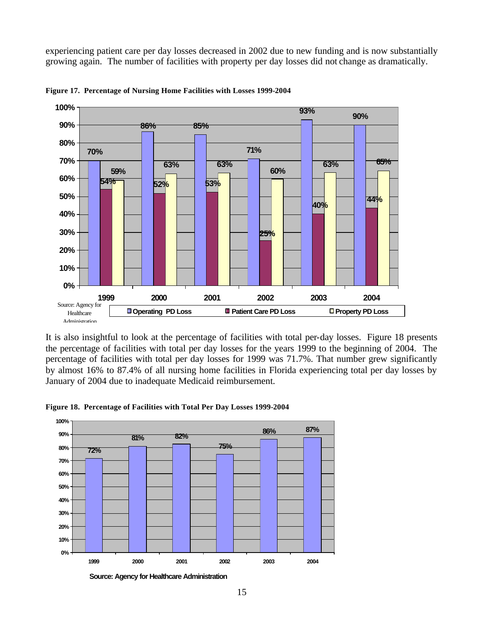experiencing patient care per day losses decreased in 2002 due to new funding and is now substantially growing again. The number of facilities with property per day losses did not change as dramatically.



**Figure 17. Percentage of Nursing Home Facilities with Losses 1999-2004**

It is also insightful to look at the percentage of facilities with total per-day losses. Figure 18 presents the percentage of facilities with total per day losses for the years 1999 to the beginning of 2004. The percentage of facilities with total per day losses for 1999 was 71.7%. That number grew significantly by almost 16% to 87.4% of all nursing home facilities in Florida experiencing total per day losses by January of 2004 due to inadequate Medicaid reimbursement.



**Figure 18. Percentage of Facilities with Total Per Day Losses 1999-2004**

**Source: Agency for Healthcare Administration**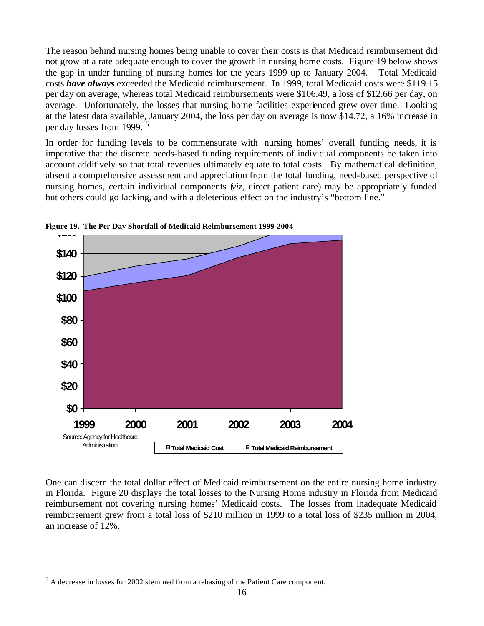The reason behind nursing homes being unable to cover their costs is that Medicaid reimbursement did not grow at a rate adequate enough to cover the growth in nursing home costs. Figure 19 below shows the gap in under funding of nursing homes for the years 1999 up to January 2004. Total Medicaid costs *have always* exceeded the Medicaid reimbursement. In 1999, total Medicaid costs were \$119.15 per day on average, whereas total Medicaid reimbursements were \$106.49, a loss of \$12.66 per day, on average. Unfortunately, the losses that nursing home facilities experienced grew over time. Looking at the latest data available, January 2004, the loss per day on average is now \$14.72, a 16% increase in per day losses from 1999.<sup>5</sup>

In order for funding levels to be commensurate with nursing homes' overall funding needs, it is imperative that the discrete needs-based funding requirements of individual components be taken into account additively so that total revenues ultimately equate to total costs. By mathematical definition, absent a comprehensive assessment and appreciation from the total funding, need-based perspective of nursing homes, certain individual components (*viz,* direct patient care) may be appropriately funded but others could go lacking, and with a deleterious effect on the industry's "bottom line."



**Figure 19. The Per Day Shortfall of Medicaid Reimbursement 1999-2004** 

One can discern the total dollar effect of Medicaid reimbursement on the entire nursing home industry in Florida. Figure 20 displays the total losses to the Nursing Home industry in Florida from Medicaid reimbursement not covering nursing homes' Medicaid costs. The losses from inadequate Medicaid reimbursement grew from a total loss of \$210 million in 1999 to a total loss of \$235 million in 2004, an increase of 12%.

 $\overline{a}$ 

 $<sup>5</sup>$  A decrease in losses for 2002 stemmed from a rebasing of the Patient Care component.</sup>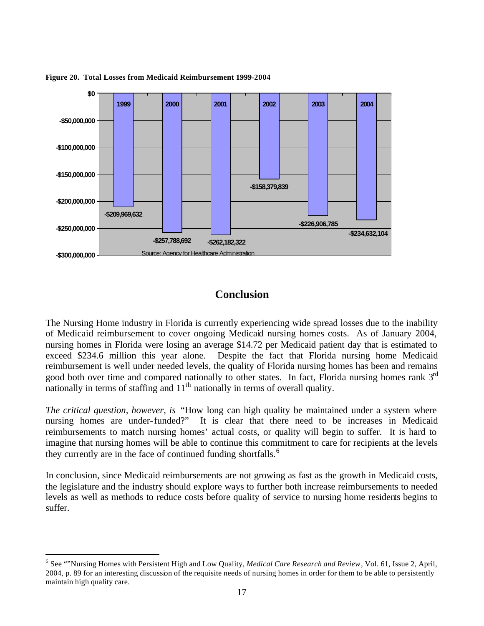

**Figure 20. Total Losses from Medicaid Reimbursement 1999-2004**

### **Conclusion**

The Nursing Home industry in Florida is currently experiencing wide spread losses due to the inability of Medicaid reimbursement to cover ongoing Medicaid nursing homes costs. As of January 2004, nursing homes in Florida were losing an average \$14.72 per Medicaid patient day that is estimated to exceed \$234.6 million this year alone. Despite the fact that Florida nursing home Medicaid reimbursement is well under needed levels, the quality of Florida nursing homes has been and remains good both over time and compared nationally to other states. In fact, Florida nursing homes rank  $3<sup>rd</sup>$ nationally in terms of staffing and  $11<sup>th</sup>$  nationally in terms of overall quality.

*The critical question, however, is* "How long can high quality be maintained under a system where nursing homes are under-funded?" It is clear that there need to be increases in Medicaid reimbursements to match nursing homes' actual costs, or quality will begin to suffer. It is hard to imagine that nursing homes will be able to continue this commitment to care for recipients at the levels they currently are in the face of continued funding shortfalls.<sup>6</sup>

In conclusion, since Medicaid reimbursements are not growing as fast as the growth in Medicaid costs, the legislature and the industry should explore ways to further both increase reimbursements to needed levels as well as methods to reduce costs before quality of service to nursing home residents begins to suffer.

 $\overline{a}$ 

<sup>6</sup> See ""Nursing Homes with Persistent High and Low Quality, *Medical Care Research and Review*, Vol. 61, Issue 2, April, 2004, p. 89 for an interesting discussion of the requisite needs of nursing homes in order for them to be able to persistently maintain high quality care.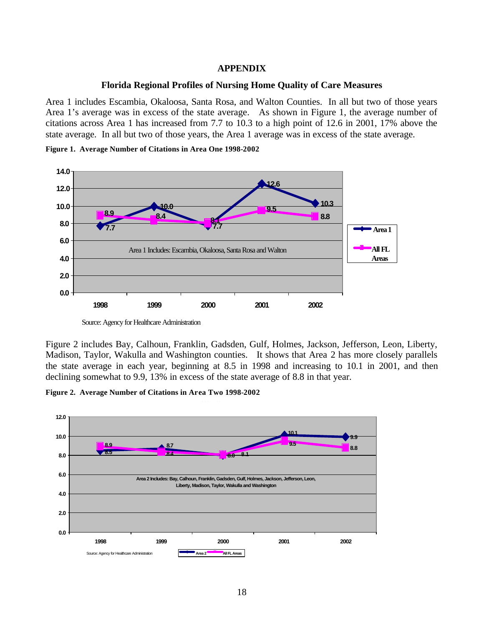#### **APPENDIX**

#### **Florida Regional Profiles of Nursing Home Quality of Care Measures**

Area 1 includes Escambia, Okaloosa, Santa Rosa, and Walton Counties. In all but two of those years Area 1's average was in excess of the state average. As shown in Figure 1, the average number of citations across Area 1 has increased from 7.7 to 10.3 to a high point of 12.6 in 2001, 17% above the state average. In all but two of those years, the Area 1 average was in excess of the state average.

**Figure 1. Average Number of Citations in Area One 1998-2002**



Source: Agency for Healthcare Administration

Figure 2 includes Bay, Calhoun, Franklin, Gadsden, Gulf, Holmes, Jackson, Jefferson, Leon, Liberty, Madison, Taylor, Wakulla and Washington counties. It shows that Area 2 has more closely parallels the state average in each year, beginning at 8.5 in 1998 and increasing to 10.1 in 2001, and then declining somewhat to 9.9, 13% in excess of the state average of 8.8 in that year.

**Figure 2. Average Number of Citations in Area Two 1998-2002**

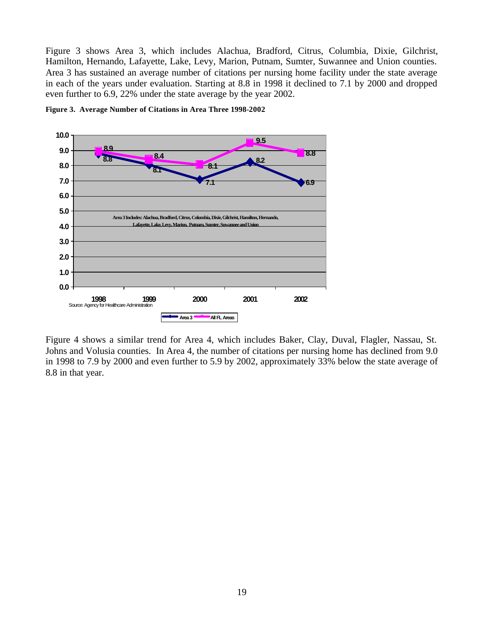Figure 3 shows Area 3, which includes Alachua, Bradford, Citrus, Columbia, Dixie, Gilchrist, Hamilton, Hernando, Lafayette, Lake, Levy, Marion, Putnam, Sumter, Suwannee and Union counties. Area 3 has sustained an average number of citations per nursing home facility under the state average in each of the years under evaluation. Starting at 8.8 in 1998 it declined to 7.1 by 2000 and dropped even further to 6.9, 22% under the state average by the year 2002.



**Figure 3. Average Number of Citations in Area Three 1998-2002**

Figure 4 shows a similar trend for Area 4, which includes Baker, Clay, Duval, Flagler, Nassau, St. Johns and Volusia counties. In Area 4, the number of citations per nursing home has declined from 9.0 in 1998 to 7.9 by 2000 and even further to 5.9 by 2002, approximately 33% below the state average of 8.8 in that year.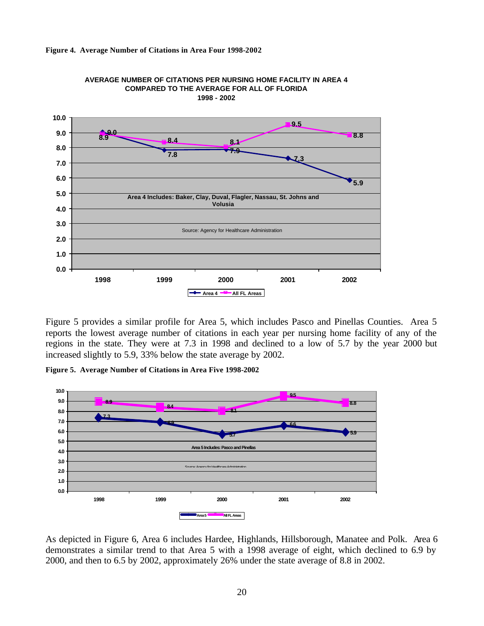





Figure 5 provides a similar profile for Area 5, which includes Pasco and Pinellas Counties. Area 5 reports the lowest average number of citations in each year per nursing home facility of any of the regions in the state. They were at 7.3 in 1998 and declined to a low of 5.7 by the year 2000 but increased slightly to 5.9, 33% below the state average by 2002.

**Figure 5. Average Number of Citations in Area Five 1998-2002**



As depicted in Figure 6, Area 6 includes Hardee, Highlands, Hillsborough, Manatee and Polk. Area 6 demonstrates a similar trend to that Area 5 with a 1998 average of eight, which declined to 6.9 by 2000, and then to 6.5 by 2002, approximately 26% under the state average of 8.8 in 2002.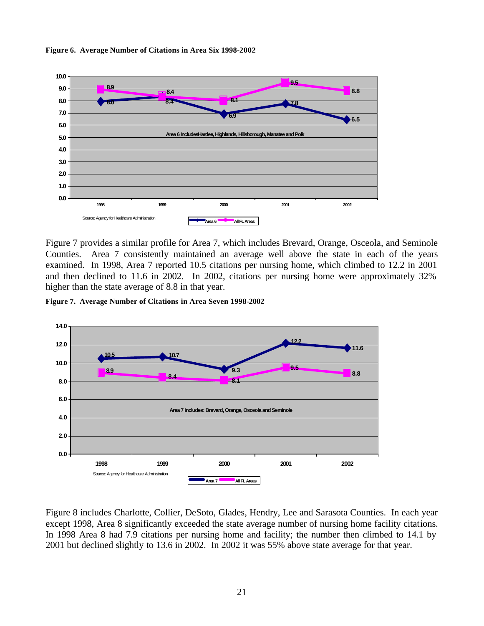

**Figure 6. Average Number of Citations in Area Six 1998-2002**

Figure 7 provides a similar profile for Area 7, which includes Brevard, Orange, Osceola, and Seminole Counties. Area 7 consistently maintained an average well above the state in each of the years examined. In 1998, Area 7 reported 10.5 citations per nursing home, which climbed to 12.2 in 2001 and then declined to 11.6 in 2002. In 2002, citations per nursing home were approximately 32% higher than the state average of 8.8 in that year.

**Figure 7. Average Number of Citations in Area Seven 1998-2002**



Figure 8 includes Charlotte, Collier, DeSoto, Glades, Hendry, Lee and Sarasota Counties. In each year except 1998, Area 8 significantly exceeded the state average number of nursing home facility citations. In 1998 Area 8 had 7.9 citations per nursing home and facility; the number then climbed to 14.1 by 2001 but declined slightly to 13.6 in 2002. In 2002 it was 55% above state average for that year.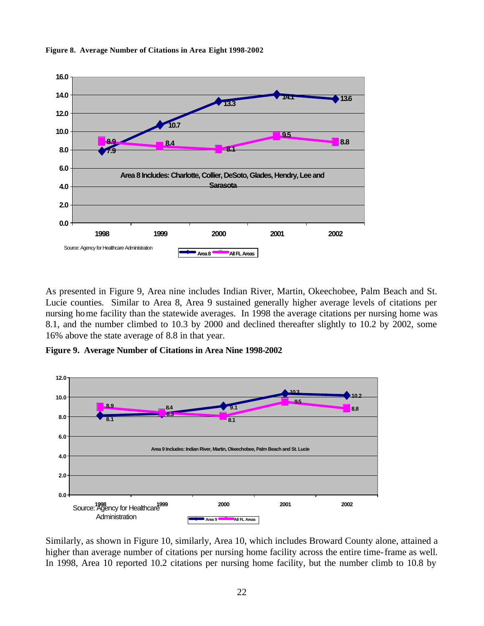

**Figure 8. Average Number of Citations in Area Eight 1998-2002**

As presented in Figure 9, Area nine includes Indian River, Martin, Okeechobee, Palm Beach and St. Lucie counties. Similar to Area 8, Area 9 sustained generally higher average levels of citations per nursing home facility than the statewide averages. In 1998 the average citations per nursing home was 8.1, and the number climbed to 10.3 by 2000 and declined thereafter slightly to 10.2 by 2002, some 16% above the state average of 8.8 in that year.

**Figure 9. Average Number of Citations in Area Nine 1998-2002**



Similarly, as shown in Figure 10, similarly, Area 10, which includes Broward County alone, attained a higher than average number of citations per nursing home facility across the entire time-frame as well. In 1998, Area 10 reported 10.2 citations per nursing home facility, but the number climb to 10.8 by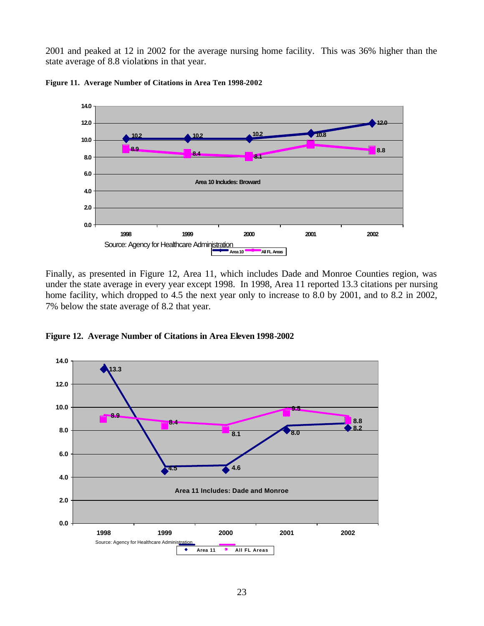2001 and peaked at 12 in 2002 for the average nursing home facility. This was 36% higher than the state average of 8.8 violations in that year.



**Figure 11. Average Number of Citations in Area Ten 1998-2002**

Finally, as presented in Figure 12, Area 11, which includes Dade and Monroe Counties region, was under the state average in every year except 1998. In 1998, Area 11 reported 13.3 citations per nursing home facility, which dropped to 4.5 the next year only to increase to 8.0 by 2001, and to 8.2 in 2002, 7% below the state average of 8.2 that year.

**Figure 12. Average Number of Citations in Area Eleven 1998-2002**

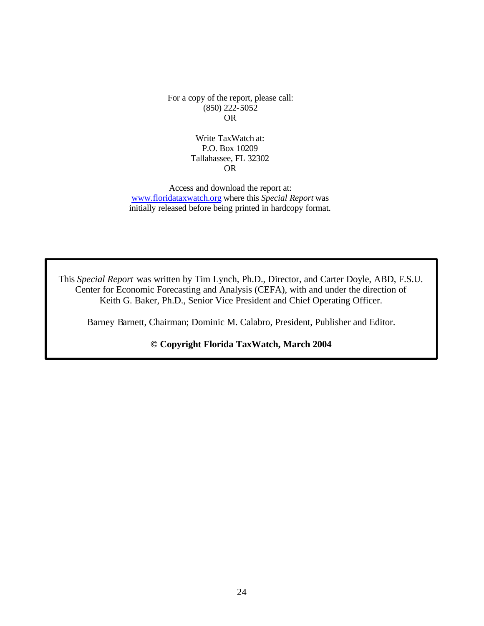For a copy of the report, please call: (850) 222-5052 OR

> Write TaxWatch at: P.O. Box 10209 Tallahassee, FL 32302 OR

Access and download the report at: www.floridataxwatch.org where this *Special Report* was initially released before being printed in hardcopy format.

This *Special Report* was written by Tim Lynch, Ph.D., Director, and Carter Doyle, ABD, F.S.U. Center for Economic Forecasting and Analysis (CEFA), with and under the direction of Keith G. Baker, Ph.D., Senior Vice President and Chief Operating Officer.

Barney Barnett, Chairman; Dominic M. Calabro, President, Publisher and Editor.

**© Copyright Florida TaxWatch, March 2004**